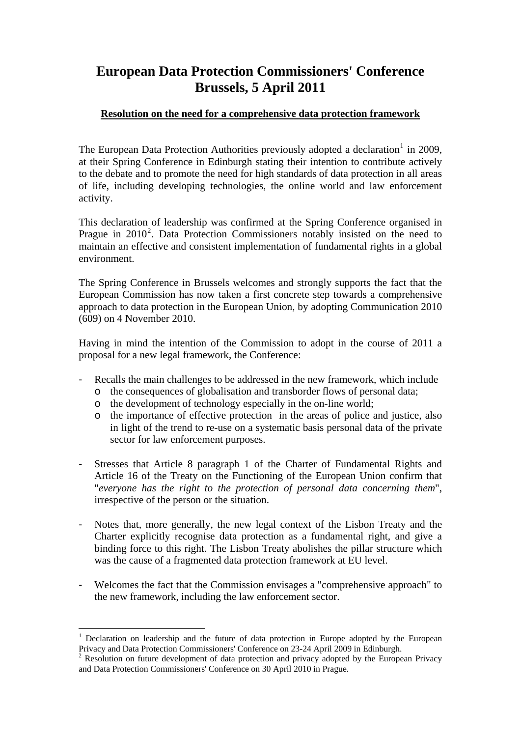## **European Data Protection Commissioners' Conference Brussels, 5 April 2011**

## **Resolution on the need for a comprehensive data protection framework**

The European Data Protection Authorities previously adopted a declaration<sup>[1](#page-0-0)</sup> in 2009, at their Spring Conference in Edinburgh stating their intention to contribute actively to the debate and to promote the need for high standards of data protection in all areas of life, including developing technologies, the online world and law enforcement activity.

This declaration of leadership was confirmed at the Spring Conference organised in Prague in [2](#page-0-1)010<sup>2</sup>. Data Protection Commissioners notably insisted on the need to maintain an effective and consistent implementation of fundamental rights in a global environment.

The Spring Conference in Brussels welcomes and strongly supports the fact that the European Commission has now taken a first concrete step towards a comprehensive approach to data protection in the European Union, by adopting Communication 2010 (609) on 4 November 2010.

Having in mind the intention of the Commission to adopt in the course of 2011 a proposal for a new legal framework, the Conference:

- Recalls the main challenges to be addressed in the new framework, which include
	- o the consequences of globalisation and transborder flows of personal data;
	- o the development of technology especially in the on-line world;
	- o the importance of effective protection in the areas of police and justice, also in light of the trend to re-use on a systematic basis personal data of the private sector for law enforcement purposes.
- Stresses that Article 8 paragraph 1 of the Charter of Fundamental Rights and Article 16 of the Treaty on the Functioning of the European Union confirm that "*everyone has the right to the protection of personal data concerning them*", irrespective of the person or the situation.
- Notes that, more generally, the new legal context of the Lisbon Treaty and the Charter explicitly recognise data protection as a fundamental right, and give a binding force to this right. The Lisbon Treaty abolishes the pillar structure which was the cause of a fragmented data protection framework at EU level.
- Welcomes the fact that the Commission envisages a "comprehensive approach" to the new framework, including the law enforcement sector.

1

<span id="page-0-0"></span><sup>&</sup>lt;sup>1</sup> Declaration on leadership and the future of data protection in Europe adopted by the European Privacy and Data Protection Commissioners' Conference on 23-24 April 2009 in Edinburgh.

<span id="page-0-1"></span> $2$  Resolution on future development of data protection and privacy adopted by the European Privacy and Data Protection Commissioners' Conference on 30 April 2010 in Prague.